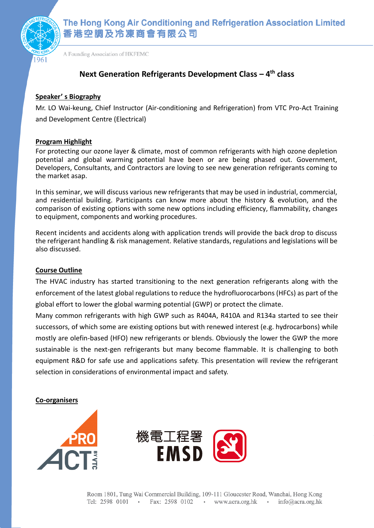

The Hong Kong Air Conditioning and Refrigeration Association Limited 香港空調及冷凍商會有限公司

A Founding Association of HKFEMC

# **Next Generation Refrigerants Development Class – 4 th class**

### **Speaker' s Biography**

Mr. LO Wai-keung, Chief Instructor (Air-conditioning and Refrigeration) from VTC Pro-Act Training and Development Centre (Electrical)

## **Program Highlight**

For protecting our ozone layer & climate, most of common refrigerants with high ozone depletion potential and global warming potential have been or are being phased out. Government, Developers, Consultants, and Contractors are loving to see new generation refrigerants coming to the market asap.

In this seminar, we will discuss various new refrigerants that may be used in industrial, commercial, and residential building. Participants can know more about the history & evolution, and the comparison of existing options with some new options including efficiency, flammability, changes to equipment, components and working procedures.

Recent incidents and accidents along with application trends will provide the back drop to discuss the refrigerant handling & risk management. Relative standards, regulations and legislations will be also discussed.

#### **Course Outline**

The HVAC industry has started transitioning to the next generation refrigerants along with the enforcement of the latest global regulations to reduce the hydrofluorocarbons (HFCs) as part of the global effort to lower the global warming potential (GWP) or protect the climate.

Many common refrigerants with high GWP such as R404A, R410A and R134a started to see their successors, of which some are existing options but with renewed interest (e.g. hydrocarbons) while mostly are olefin-based (HFO) new refrigerants or blends. Obviously the lower the GWP the more sustainable is the next-gen refrigerants but many become flammable. It is challenging to both equipment R&D for safe use and applications safety. This presentation will review the refrigerant selection in considerations of environmental impact and safety.

**Co-organisers**